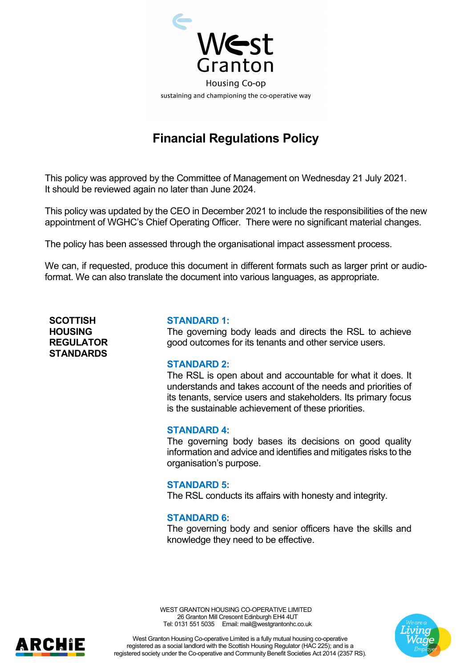

# **Financial Regulations Policy**

This policy was approved by the Committee of Management on Wednesday 21 July 2021. It should be reviewed again no later than June 2024.

This policy was updated by the CEO in December 2021 to include the responsibilities of the new appointment of WGHC's Chief Operating Officer. There were no significant material changes.

The policy has been assessed through the organisational impact assessment process.

We can, if requested, produce this document in different formats such as larger print or audioformat. We can also translate the document into various languages, as appropriate.

**SCOTTISH HOUSING REGULATOR STANDARDS**

#### **STANDARD 1:**

The governing body leads and directs the RSL to achieve good outcomes for its tenants and other service users.

#### **STANDARD 2:**

The RSL is open about and accountable for what it does. It understands and takes account of the needs and priorities of its tenants, service users and stakeholders. Its primary focus is the sustainable achievement of these priorities.

#### **STANDARD 4:**

The governing body bases its decisions on good quality information and advice and identifies and mitigates risks to the organisation's purpose.

#### **STANDARD 5:**

The RSL conducts its affairs with honesty and integrity.

#### **STANDARD 6:**

The governing body and senior officers have the skills and knowledge they need to be effective.

WEST GRANTON HOUSING CO-OPERATIVE LIMITED 26 Granton Mill Crescent Edinburgh EH4 4UT Tel: 0131 551 5035 Email: mail@westgrantonhc.co.uk



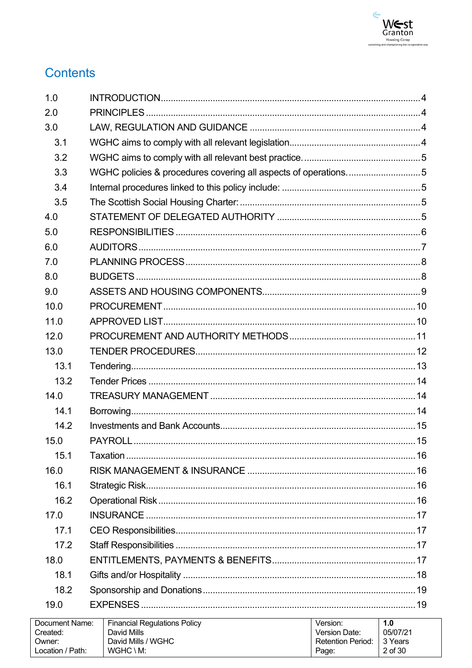

# **Contents**

| 1.0                        |                                                                |                           |                 |
|----------------------------|----------------------------------------------------------------|---------------------------|-----------------|
| 2.0                        |                                                                |                           |                 |
| 3.0                        |                                                                |                           |                 |
| 3.1                        |                                                                |                           |                 |
| 3.2                        |                                                                |                           |                 |
| 3.3                        | WGHC policies & procedures covering all aspects of operations5 |                           |                 |
| 3.4                        |                                                                |                           |                 |
| 3.5                        |                                                                |                           |                 |
| 4.0                        |                                                                |                           |                 |
| 5.0                        |                                                                |                           |                 |
| 6.0                        |                                                                |                           |                 |
| 7.0                        |                                                                |                           |                 |
| 8.0                        |                                                                |                           |                 |
| 9.0                        |                                                                |                           |                 |
| 10.0                       |                                                                |                           |                 |
| 11.0                       |                                                                |                           |                 |
| 12.0                       |                                                                |                           |                 |
| 13.0                       |                                                                |                           |                 |
| 13.1                       |                                                                |                           |                 |
| 13.2                       |                                                                |                           |                 |
| 14.0                       |                                                                |                           |                 |
| 14.1                       |                                                                |                           |                 |
| 14.2                       |                                                                |                           |                 |
| 15.0                       |                                                                |                           |                 |
| 15.1                       |                                                                |                           |                 |
| 16.0                       |                                                                |                           |                 |
| 16.1                       |                                                                |                           |                 |
| 16.2                       |                                                                |                           |                 |
| 17.0                       |                                                                |                           |                 |
| 17.1                       |                                                                |                           |                 |
| 17.2                       |                                                                |                           |                 |
| 18.0                       |                                                                |                           |                 |
| 18.1                       |                                                                |                           |                 |
| 18.2                       |                                                                |                           |                 |
| 19.0                       |                                                                |                           |                 |
| Document Name:<br>Created: | <b>Financial Regulations Policy</b><br>David Mills             | Version:<br>Version Date: | 1.0<br>05/07/21 |

Retention Period:

Page:

3 Years

 $2$  of  $30\,$ 

David Mills / WGHC

 $WGHC \setminus M$ :

Owner:

Location / Path: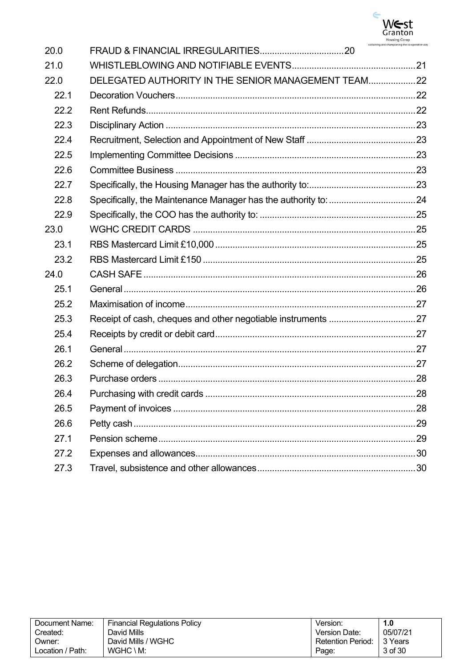

| Document Name:   | <b>Financial Regulations Policy</b> | Version:                 | 1.0      |
|------------------|-------------------------------------|--------------------------|----------|
| Created:         | David Mills                         | Version Date:            | 05/07/21 |
| Owner:           | David Mills / WGHC                  | <b>Retention Period:</b> | 3 Years  |
| Location / Path: | $WGHC \setminus M$ :                | Page:                    | 3 of 30  |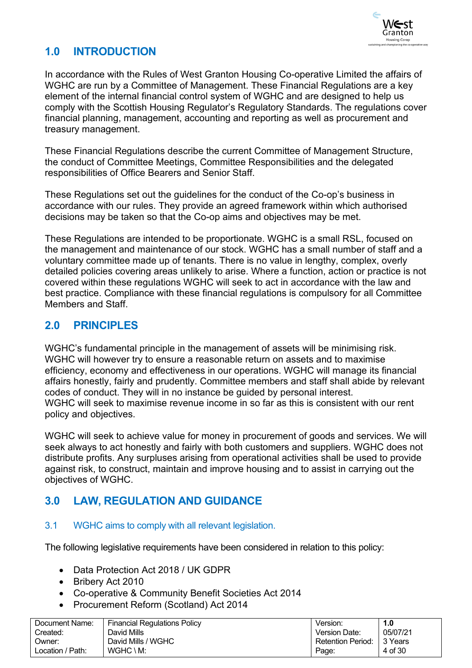

# <span id="page-3-0"></span>**1.0 INTRODUCTION**

In accordance with the Rules of West Granton Housing Co-operative Limited the affairs of WGHC are run by a Committee of Management. These Financial Regulations are a key element of the internal financial control system of WGHC and are designed to help us comply with the Scottish Housing Regulator's Regulatory Standards. The regulations cover financial planning, management, accounting and reporting as well as procurement and treasury management.

These Financial Regulations describe the current Committee of Management Structure, the conduct of Committee Meetings, Committee Responsibilities and the delegated responsibilities of Office Bearers and Senior Staff.

These Regulations set out the guidelines for the conduct of the Co-op's business in accordance with our rules. They provide an agreed framework within which authorised decisions may be taken so that the Co-op aims and objectives may be met.

These Regulations are intended to be proportionate. WGHC is a small RSL, focused on the management and maintenance of our stock. WGHC has a small number of staff and a voluntary committee made up of tenants. There is no value in lengthy, complex, overly detailed policies covering areas unlikely to arise. Where a function, action or practice is not covered within these regulations WGHC will seek to act in accordance with the law and best practice. Compliance with these financial regulations is compulsory for all Committee Members and Staff.

### <span id="page-3-1"></span>**2.0 PRINCIPLES**

WGHC's fundamental principle in the management of assets will be minimising risk. WGHC will however try to ensure a reasonable return on assets and to maximise efficiency, economy and effectiveness in our operations. WGHC will manage its financial affairs honestly, fairly and prudently. Committee members and staff shall abide by relevant codes of conduct. They will in no instance be guided by personal interest. WGHC will seek to maximise revenue income in so far as this is consistent with our rent policy and objectives.

WGHC will seek to achieve value for money in procurement of goods and services. We will seek always to act honestly and fairly with both customers and suppliers. WGHC does not distribute profits. Any surpluses arising from operational activities shall be used to provide against risk, to construct, maintain and improve housing and to assist in carrying out the objectives of WGHC.

# <span id="page-3-2"></span>**3.0 LAW, REGULATION AND GUIDANCE**

### <span id="page-3-3"></span>3.1 WGHC aims to comply with all relevant legislation.

The following legislative requirements have been considered in relation to this policy:

- Data Protection Act 2018 / UK GDPR
- Bribery Act 2010
- Co-operative & Community Benefit Societies Act 2014
- Procurement Reform (Scotland) Act 2014

| Document Name:   | ∣ Financial Regulations Policy | Version.          |           |
|------------------|--------------------------------|-------------------|-----------|
| Created:         | David Mills                    | Version Date:     | 05/07/21  |
| Owner:           | David Mills / WGHC             | Retention Period: | l 3 Years |
| Location / Path: | WGHC \ M:                      | Page:             | 4 of 30   |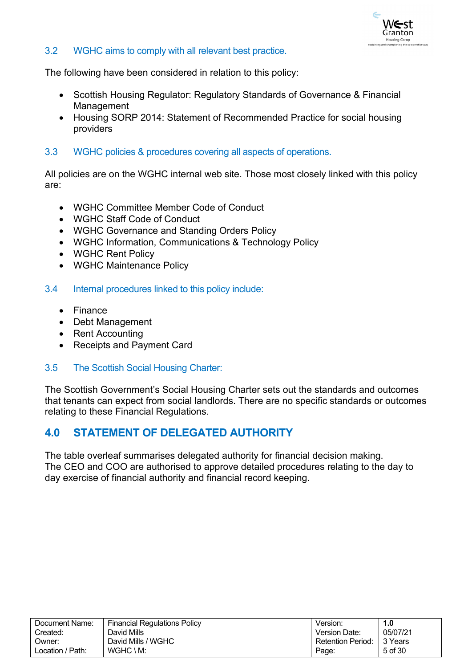

#### <span id="page-4-0"></span>3.2 WGHC aims to comply with all relevant best practice.

The following have been considered in relation to this policy:

- Scottish Housing Regulator: Regulatory Standards of Governance & Financial Management
- Housing SORP 2014: Statement of Recommended Practice for social housing providers
- <span id="page-4-1"></span>3.3 WGHC policies & procedures covering all aspects of operations.

All policies are on the WGHC internal web site. Those most closely linked with this policy are:

- WGHC Committee Member Code of Conduct
- WGHC Staff Code of Conduct
- WGHC Governance and Standing Orders Policy
- WGHC Information, Communications & Technology Policy
- WGHC Rent Policy
- WGHC Maintenance Policy
- <span id="page-4-2"></span>3.4 Internal procedures linked to this policy include:
	- Finance
	- Debt Management
	- Rent Accounting
	- Receipts and Payment Card

### <span id="page-4-3"></span>3.5 The Scottish Social Housing Charter:

The Scottish Government's Social Housing Charter sets out the standards and outcomes that tenants can expect from social landlords. There are no specific standards or outcomes relating to these Financial Regulations.

### <span id="page-4-4"></span>**4.0 STATEMENT OF DELEGATED AUTHORITY**

The table overleaf summarises delegated authority for financial decision making. The CEO and COO are authorised to approve detailed procedures relating to the day to day exercise of financial authority and financial record keeping.

| Document Name:   | <b>Financial Regulations Policy</b> | Version:                    | 1.0      |
|------------------|-------------------------------------|-----------------------------|----------|
| Created:         | David Mills                         | Version Date:               | 05/07/21 |
| Owner:           | David Mills / WGHC                  | Retention Period: 1 3 Years |          |
| Location / Path: | $WGHC \setminus M$ :                | Page:                       | 5 of 30  |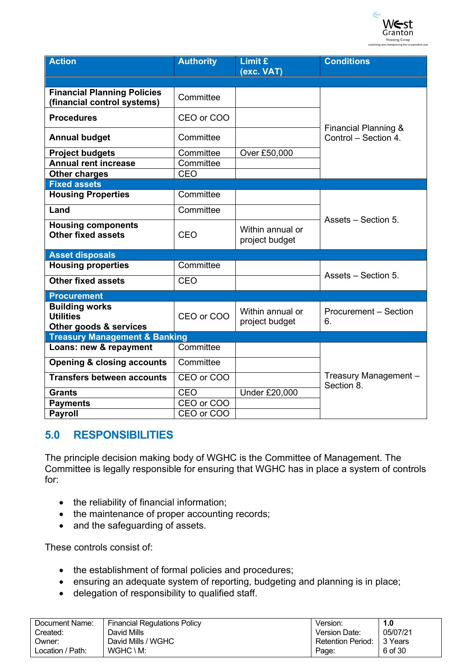

| <b>Action</b>                                                       | <b>Authority</b>           | Limit £<br>(exc. VAT)              | <b>Conditions</b>                   |
|---------------------------------------------------------------------|----------------------------|------------------------------------|-------------------------------------|
|                                                                     |                            |                                    |                                     |
| <b>Financial Planning Policies</b><br>(financial control systems)   | Committee                  |                                    |                                     |
| <b>Procedures</b>                                                   | CEO or COO                 |                                    | Financial Planning &                |
| <b>Annual budget</b>                                                | Committee                  |                                    | Control - Section 4.                |
| <b>Project budgets</b>                                              | Committee                  | Over £50,000                       |                                     |
| <b>Annual rent increase</b>                                         | Committee                  |                                    |                                     |
| <b>Other charges</b>                                                | CEO                        |                                    |                                     |
| <b>Fixed assets</b>                                                 |                            |                                    |                                     |
| <b>Housing Properties</b>                                           | Committee                  |                                    |                                     |
| Land                                                                | Committee                  |                                    | Assets - Section 5.                 |
| <b>Housing components</b><br><b>Other fixed assets</b>              | CEO                        | Within annual or<br>project budget |                                     |
| <b>Asset disposals</b>                                              |                            |                                    |                                     |
| <b>Housing properties</b>                                           | $\overline{\text{Commit}}$ |                                    | Assets - Section 5.                 |
| <b>Other fixed assets</b>                                           | CEO                        |                                    |                                     |
| <b>Procurement</b>                                                  |                            |                                    |                                     |
| <b>Building works</b><br><b>Utilities</b><br>Other goods & services | CEO or COO                 | Within annual or<br>project budget | <b>Procurement – Section</b><br>6.  |
| <b>Treasury Management &amp; Banking</b>                            |                            |                                    |                                     |
| Loans: new & repayment                                              | Committee                  |                                    |                                     |
| <b>Opening &amp; closing accounts</b>                               | Committee                  |                                    |                                     |
| <b>Transfers between accounts</b>                                   | CEO or COO                 |                                    | Treasury Management -<br>Section 8. |
| <b>Grants</b>                                                       | CEO                        | <b>Under £20,000</b>               |                                     |
| <b>Payments</b>                                                     | CEO or COO                 |                                    |                                     |
| <b>Payroll</b>                                                      | CEO or COO                 |                                    |                                     |

### <span id="page-5-0"></span>**5.0 RESPONSIBILITIES**

The principle decision making body of WGHC is the Committee of Management. The Committee is legally responsible for ensuring that WGHC has in place a system of controls for:

- the reliability of financial information;
- the maintenance of proper accounting records;
- and the safeguarding of assets.

These controls consist of:

- the establishment of formal policies and procedures;
- ensuring an adequate system of reporting, budgeting and planning is in place;
- delegation of responsibility to qualified staff.

| Document Name:   | <b>Financial Regulations Policy</b> | Version.                 | I.O      |
|------------------|-------------------------------------|--------------------------|----------|
| Created:         | David Mills                         | Version Date:            | 05/07/21 |
| Owner:           | David Mills / WGHC                  | <b>Retention Period:</b> | 3 Years  |
| Location / Path: | $WGHC \setminus M$ :                | Page:                    | 6 of 30  |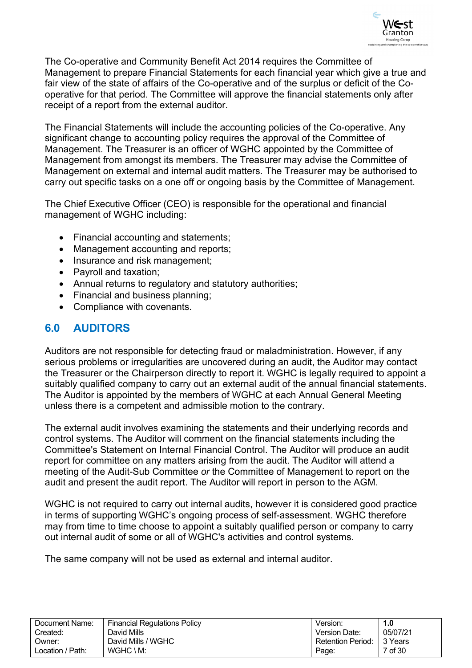

The Co-operative and Community Benefit Act 2014 requires the Committee of Management to prepare Financial Statements for each financial year which give a true and fair view of the state of affairs of the Co-operative and of the surplus or deficit of the Cooperative for that period. The Committee will approve the financial statements only after receipt of a report from the external auditor.

The Financial Statements will include the accounting policies of the Co-operative. Any significant change to accounting policy requires the approval of the Committee of Management. The Treasurer is an officer of WGHC appointed by the Committee of Management from amongst its members. The Treasurer may advise the Committee of Management on external and internal audit matters. The Treasurer may be authorised to carry out specific tasks on a one off or ongoing basis by the Committee of Management.

The Chief Executive Officer (CEO) is responsible for the operational and financial management of WGHC including:

- Financial accounting and statements;
- Management accounting and reports;
- Insurance and risk management;
- Payroll and taxation;
- Annual returns to regulatory and statutory authorities;
- Financial and business planning;
- Compliance with covenants.

# <span id="page-6-0"></span>**6.0 AUDITORS**

Auditors are not responsible for detecting fraud or maladministration. However, if any serious problems or irregularities are uncovered during an audit, the Auditor may contact the Treasurer or the Chairperson directly to report it. WGHC is legally required to appoint a suitably qualified company to carry out an external audit of the annual financial statements. The Auditor is appointed by the members of WGHC at each Annual General Meeting unless there is a competent and admissible motion to the contrary.

The external audit involves examining the statements and their underlying records and control systems. The Auditor will comment on the financial statements including the Committee's Statement on Internal Financial Control. The Auditor will produce an audit report for committee on any matters arising from the audit. The Auditor will attend a meeting of the Audit-Sub Committee *or* the Committee of Management to report on the audit and present the audit report. The Auditor will report in person to the AGM.

WGHC is not required to carry out internal audits, however it is considered good practice in terms of supporting WGHC's ongoing process of self-assessment. WGHC therefore may from time to time choose to appoint a suitably qualified person or company to carry out internal audit of some or all of WGHC's activities and control systems.

The same company will not be used as external and internal auditor.

| Document Name:   | Financial Regulations Policy | Version.                 | 1.0      |
|------------------|------------------------------|--------------------------|----------|
| Created:         | David Mills                  | Version Date:            | 05/07/21 |
| :Jwner           | David Mills / WGHC           | <b>Retention Period:</b> | 3 Years  |
| ∟ocation / Path: | $WGHC \setminus M$ :         | Page:                    | 7 of 30  |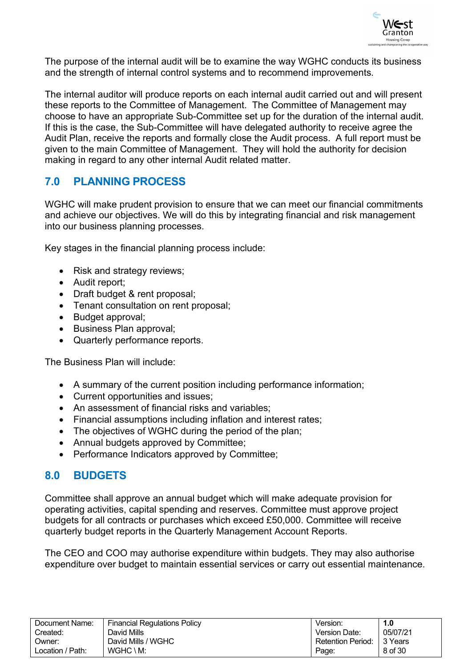

The purpose of the internal audit will be to examine the way WGHC conducts its business and the strength of internal control systems and to recommend improvements.

The internal auditor will produce reports on each internal audit carried out and will present these reports to the Committee of Management. The Committee of Management may choose to have an appropriate Sub-Committee set up for the duration of the internal audit. If this is the case, the Sub-Committee will have delegated authority to receive agree the Audit Plan, receive the reports and formally close the Audit process. A full report must be given to the main Committee of Management. They will hold the authority for decision making in regard to any other internal Audit related matter.

# <span id="page-7-0"></span>**7.0 PLANNING PROCESS**

WGHC will make prudent provision to ensure that we can meet our financial commitments and achieve our objectives. We will do this by integrating financial and risk management into our business planning processes.

Key stages in the financial planning process include:

- Risk and strategy reviews;
- Audit report;
- Draft budget & rent proposal;
- Tenant consultation on rent proposal;
- Budget approval;
- Business Plan approval;
- Quarterly performance reports.

The Business Plan will include:

- A summary of the current position including performance information;
- Current opportunities and issues;
- An assessment of financial risks and variables;
- Financial assumptions including inflation and interest rates;
- The objectives of WGHC during the period of the plan;
- Annual budgets approved by Committee;
- Performance Indicators approved by Committee;

### <span id="page-7-1"></span>**8.0 BUDGETS**

Committee shall approve an annual budget which will make adequate provision for operating activities, capital spending and reserves. Committee must approve project budgets for all contracts or purchases which exceed £50,000. Committee will receive quarterly budget reports in the Quarterly Management Account Reports.

The CEO and COO may authorise expenditure within budgets. They may also authorise expenditure over budget to maintain essential services or carry out essential maintenance.

| Document Name:   | <b>Financial Regulations Policy</b> | Version.                 | 1.0      |
|------------------|-------------------------------------|--------------------------|----------|
| Created:         | David Mills                         | Version Date:            | 05/07/21 |
| Dwner:           | David Mills / WGHC                  | <b>Retention Period:</b> | 3 Years  |
| Location / Path: | $WGHC \setminus M$ :                | Page:                    | 8 of 30  |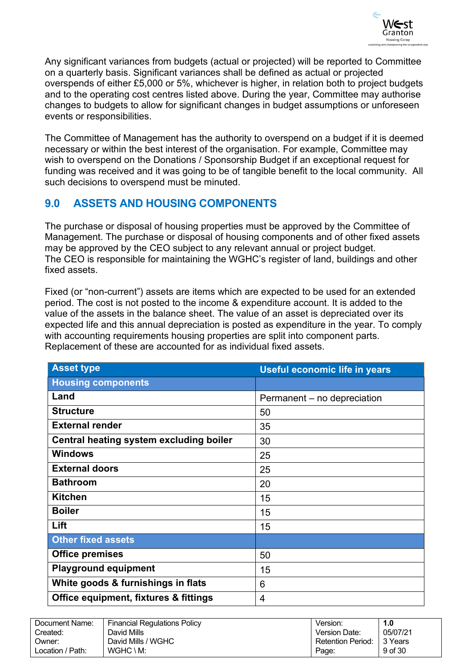

Any significant variances from budgets (actual or projected) will be reported to Committee on a quarterly basis. Significant variances shall be defined as actual or projected overspends of either £5,000 or 5%, whichever is higher, in relation both to project budgets and to the operating cost centres listed above. During the year, Committee may authorise changes to budgets to allow for significant changes in budget assumptions or unforeseen events or responsibilities.

The Committee of Management has the authority to overspend on a budget if it is deemed necessary or within the best interest of the organisation. For example, Committee may wish to overspend on the Donations / Sponsorship Budget if an exceptional request for funding was received and it was going to be of tangible benefit to the local community. All such decisions to overspend must be minuted.

### <span id="page-8-0"></span>**9.0 ASSETS AND HOUSING COMPONENTS**

The purchase or disposal of housing properties must be approved by the Committee of Management. The purchase or disposal of housing components and of other fixed assets may be approved by the CEO subject to any relevant annual or project budget. The CEO is responsible for maintaining the WGHC's register of land, buildings and other fixed assets.

Fixed (or "non-current") assets are items which are expected to be used for an extended period. The cost is not posted to the income & expenditure account. It is added to the value of the assets in the balance sheet. The value of an asset is depreciated over its expected life and this annual depreciation is posted as expenditure in the year. To comply with accounting requirements housing properties are split into component parts. Replacement of these are accounted for as individual fixed assets.

| <b>Asset type</b>                       | <b>Useful economic life in years</b> |
|-----------------------------------------|--------------------------------------|
| <b>Housing components</b>               |                                      |
| Land                                    | Permanent – no depreciation          |
| <b>Structure</b>                        | 50                                   |
| <b>External render</b>                  | 35                                   |
| Central heating system excluding boiler | 30                                   |
| <b>Windows</b>                          | 25                                   |
| <b>External doors</b>                   | 25                                   |
| <b>Bathroom</b>                         | 20                                   |
| <b>Kitchen</b>                          | 15                                   |
| <b>Boiler</b>                           | 15                                   |
| Lift                                    | 15                                   |
| <b>Other fixed assets</b>               |                                      |
| <b>Office premises</b>                  | 50                                   |
| <b>Playground equipment</b>             | 15                                   |
| White goods & furnishings in flats      | 6                                    |
| Office equipment, fixtures & fittings   | 4                                    |

| Document Name:   | <b>Financial Regulations Policy</b> | Version.                 | 1.0      |
|------------------|-------------------------------------|--------------------------|----------|
| Created:         | David Mills                         | <b>Version Date:</b>     | 05/07/21 |
| Owner:           | David Mills / WGHC                  | <b>Retention Period:</b> | 3 Years  |
| Location / Path: | $WGHC \setminus M$ :                | Page:                    | 9 of 30  |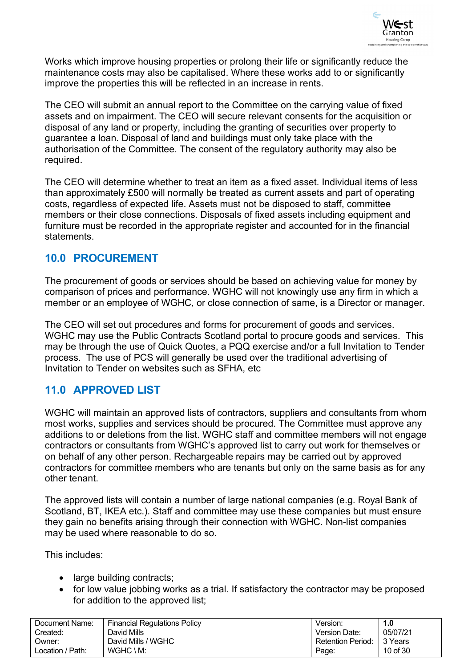

Works which improve housing properties or prolong their life or significantly reduce the maintenance costs may also be capitalised. Where these works add to or significantly improve the properties this will be reflected in an increase in rents.

The CEO will submit an annual report to the Committee on the carrying value of fixed assets and on impairment. The CEO will secure relevant consents for the acquisition or disposal of any land or property, including the granting of securities over property to guarantee a loan. Disposal of land and buildings must only take place with the authorisation of the Committee. The consent of the regulatory authority may also be required.

The CEO will determine whether to treat an item as a fixed asset. Individual items of less than approximately £500 will normally be treated as current assets and part of operating costs, regardless of expected life. Assets must not be disposed to staff, committee members or their close connections. Disposals of fixed assets including equipment and furniture must be recorded in the appropriate register and accounted for in the financial statements.

### <span id="page-9-0"></span>**10.0 PROCUREMENT**

The procurement of goods or services should be based on achieving value for money by comparison of prices and performance. WGHC will not knowingly use any firm in which a member or an employee of WGHC, or close connection of same, is a Director or manager.

The CEO will set out procedures and forms for procurement of goods and services. WGHC may use the Public Contracts Scotland portal to procure goods and services. This may be through the use of Quick Quotes, a PQQ exercise and/or a full Invitation to Tender process. The use of PCS will generally be used over the traditional advertising of Invitation to Tender on websites such as SFHA, etc

# <span id="page-9-1"></span>**11.0 APPROVED LIST**

WGHC will maintain an approved lists of contractors, suppliers and consultants from whom most works, supplies and services should be procured. The Committee must approve any additions to or deletions from the list. WGHC staff and committee members will not engage contractors or consultants from WGHC's approved list to carry out work for themselves or on behalf of any other person. Rechargeable repairs may be carried out by approved contractors for committee members who are tenants but only on the same basis as for any other tenant.

The approved lists will contain a number of large national companies (e.g. Royal Bank of Scotland, BT, IKEA etc.). Staff and committee may use these companies but must ensure they gain no benefits arising through their connection with WGHC. Non-list companies may be used where reasonable to do so.

This includes:

- large building contracts;
- for low value jobbing works as a trial. If satisfactory the contractor may be proposed for addition to the approved list;

| Document Name:   | <b>Financial Regulations Policy</b> | Version:                 | 1.0      |
|------------------|-------------------------------------|--------------------------|----------|
| Created:         | David Mills                         | Version Date:            | 05/07/21 |
| Owner:           | David Mills / WGHC                  | <b>Retention Period:</b> | 3 Years  |
| Location / Path: | $WGHC \setminus M$ :                | Page:                    | 10 of 30 |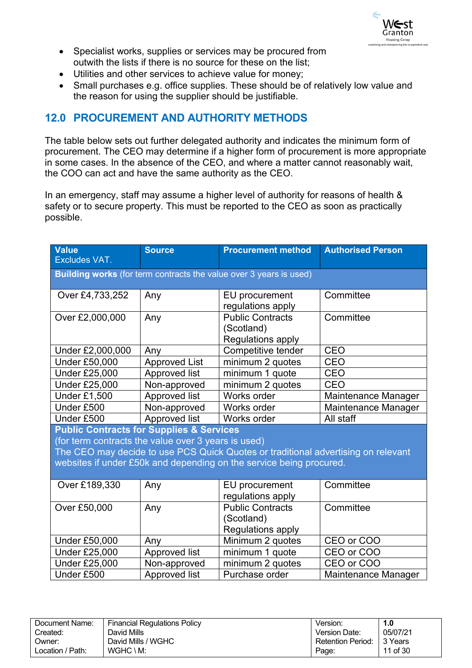

- Specialist works, supplies or services may be procured from outwith the lists if there is no source for these on the list;
- Utilities and other services to achieve value for money;
- Small purchases e.g. office supplies. These should be of relatively low value and the reason for using the supplier should be justifiable.

# <span id="page-10-0"></span>**12.0 PROCUREMENT AND AUTHORITY METHODS**

The table below sets out further delegated authority and indicates the minimum form of procurement. The CEO may determine if a higher form of procurement is more appropriate in some cases. In the absence of the CEO, and where a matter cannot reasonably wait, the COO can act and have the same authority as the CEO.

In an emergency, staff may assume a higher level of authority for reasons of health & safety or to secure property. This must be reported to the CEO as soon as practically possible.

| <b>Value</b><br><b>Excludes VAT.</b>                                                                       | <b>Source</b>        | <b>Procurement method</b>                                                                                                                                | <b>Authorised Person</b> |
|------------------------------------------------------------------------------------------------------------|----------------------|----------------------------------------------------------------------------------------------------------------------------------------------------------|--------------------------|
|                                                                                                            |                      | Building works (for term contracts the value over 3 years is used)                                                                                       |                          |
| Over £4,733,252                                                                                            | Any                  | EU procurement<br>regulations apply                                                                                                                      | Committee                |
| Over £2,000,000                                                                                            | Any                  | <b>Public Contracts</b><br>(Scotland)<br>Regulations apply                                                                                               | Committee                |
| Under £2,000,000                                                                                           | Any                  | Competitive tender                                                                                                                                       | <b>CEO</b>               |
| <b>Under £50,000</b>                                                                                       | <b>Approved List</b> | minimum 2 quotes                                                                                                                                         | CEO                      |
| <b>Under £25,000</b>                                                                                       | Approved list        | minimum 1 quote                                                                                                                                          | <b>CEO</b>               |
| <b>Under £25,000</b>                                                                                       | Non-approved         | minimum 2 quotes                                                                                                                                         | <b>CEO</b>               |
| <b>Under £1,500</b>                                                                                        | Approved list        | Works order                                                                                                                                              | Maintenance Manager      |
| Under £500                                                                                                 | Non-approved         | Works order                                                                                                                                              | Maintenance Manager      |
| Under £500                                                                                                 | Approved list        | Works order                                                                                                                                              | All staff                |
| <b>Public Contracts for Supplies &amp; Services</b><br>(for term contracts the value over 3 years is used) |                      | The CEO may decide to use PCS Quick Quotes or traditional advertising on relevant<br>websites if under £50k and depending on the service being procured. |                          |
| Over £189,330                                                                                              | Any                  | EU procurement<br>regulations apply                                                                                                                      | Committee                |
| Over £50,000                                                                                               | Any                  | <b>Public Contracts</b><br>(Scotland)<br><b>Regulations apply</b>                                                                                        | Committee                |
| <b>Under £50,000</b>                                                                                       | Any                  | Minimum 2 quotes                                                                                                                                         | CEO or COO               |
| <b>Under £25,000</b>                                                                                       | Approved list        | minimum 1 quote                                                                                                                                          | CEO or COO               |
| <b>Under £25,000</b>                                                                                       | Non-approved         | minimum 2 quotes                                                                                                                                         | CEO or COO               |
| Under £500                                                                                                 | <b>Approved list</b> | Purchase order                                                                                                                                           | Maintenance Manager      |

| Document Name:   | <b>Financial Regulations Policy</b> | Version.                 | 1.0      |
|------------------|-------------------------------------|--------------------------|----------|
| Created:         | David Mills                         | Version Date:            | 05/07/21 |
| Owner:           | David Mills / WGHC                  | <b>Retention Period:</b> | 3 Years  |
| ∟ocation / Path: | $WGHC \setminus M$ :                | Page:                    | 11 of 30 |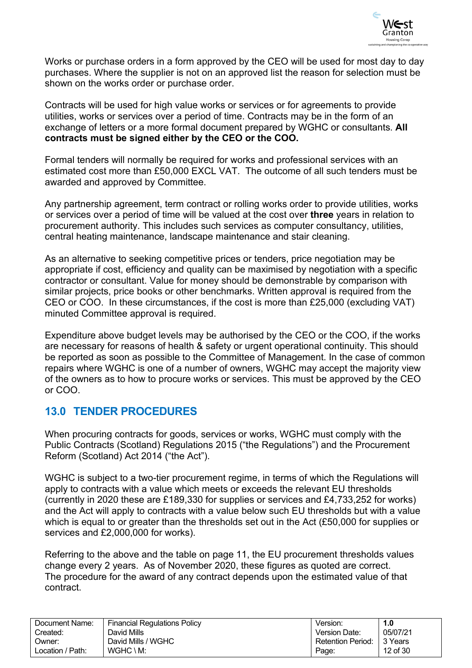

Works or purchase orders in a form approved by the CEO will be used for most day to day purchases. Where the supplier is not on an approved list the reason for selection must be shown on the works order or purchase order.

Contracts will be used for high value works or services or for agreements to provide utilities, works or services over a period of time. Contracts may be in the form of an exchange of letters or a more formal document prepared by WGHC or consultants. **All contracts must be signed either by the CEO or the COO.**

Formal tenders will normally be required for works and professional services with an estimated cost more than £50,000 EXCL VAT. The outcome of all such tenders must be awarded and approved by Committee.

Any partnership agreement, term contract or rolling works order to provide utilities, works or services over a period of time will be valued at the cost over **three** years in relation to procurement authority. This includes such services as computer consultancy, utilities, central heating maintenance, landscape maintenance and stair cleaning.

As an alternative to seeking competitive prices or tenders, price negotiation may be appropriate if cost, efficiency and quality can be maximised by negotiation with a specific contractor or consultant. Value for money should be demonstrable by comparison with similar projects, price books or other benchmarks. Written approval is required from the CEO or COO. In these circumstances, if the cost is more than £25,000 (excluding VAT) minuted Committee approval is required.

Expenditure above budget levels may be authorised by the CEO or the COO, if the works are necessary for reasons of health & safety or urgent operational continuity. This should be reported as soon as possible to the Committee of Management. In the case of common repairs where WGHC is one of a number of owners, WGHC may accept the majority view of the owners as to how to procure works or services. This must be approved by the CEO or COO.

### <span id="page-11-0"></span>**13.0 TENDER PROCEDURES**

When procuring contracts for goods, services or works, WGHC must comply with the Public Contracts (Scotland) Regulations 2015 ("the Regulations") and the Procurement Reform (Scotland) Act 2014 ("the Act").

WGHC is subject to a two-tier procurement regime, in terms of which the Regulations will apply to contracts with a value which meets or exceeds the relevant EU thresholds (currently in 2020 these are £189,330 for supplies or services and £4,733,252 for works) and the Act will apply to contracts with a value below such EU thresholds but with a value which is equal to or greater than the thresholds set out in the Act (£50,000 for supplies or services and £2,000,000 for works).

Referring to the above and the table on page 11, the EU procurement thresholds values change every 2 years. As of November 2020, these figures as quoted are correct. The procedure for the award of any contract depends upon the estimated value of that contract.

| Document Name:   | <b>Financial Regulations Policy</b> | Version.                 | I.O      |
|------------------|-------------------------------------|--------------------------|----------|
| Created:         | David Mills                         | Version Date:            | 05/07/21 |
| Owner:           | David Mills / WGHC                  | <b>Retention Period:</b> | 3 Years  |
| Location / Path: | $WGHC \setminus M$ :                | Page:                    | 12 of 30 |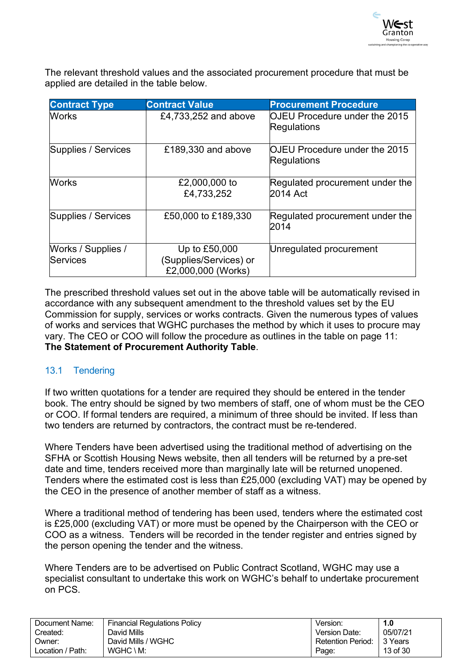

The relevant threshold values and the associated procurement procedure that must be applied are detailed in the table below.

| <b>Contract Type</b>           | <b>Contract Value</b>                                         | <b>Procurement Procedure</b>                        |
|--------------------------------|---------------------------------------------------------------|-----------------------------------------------------|
| <b>Works</b>                   | £4,733,252 and above                                          | <b>OJEU Procedure under the 2015</b><br>Regulations |
| Supplies / Services            | £189,330 and above                                            | <b>OJEU Procedure under the 2015</b><br>Regulations |
| <b>Works</b>                   | £2,000,000 to<br>£4,733,252                                   | Regulated procurement under the<br>2014 Act         |
| Supplies / Services            | £50,000 to £189,330                                           | Regulated procurement under the<br>2014             |
| Works / Supplies /<br>Services | Up to £50,000<br>(Supplies/Services) or<br>£2,000,000 (Works) | Unregulated procurement                             |

The prescribed threshold values set out in the above table will be automatically revised in accordance with any subsequent amendment to the threshold values set by the EU Commission for supply, services or works contracts. Given the numerous types of values of works and services that WGHC purchases the method by which it uses to procure may vary. The CEO or COO will follow the procedure as outlines in the table on page 11: **The Statement of Procurement Authority Table**.

### <span id="page-12-0"></span>13.1 Tendering

If two written quotations for a tender are required they should be entered in the tender book. The entry should be signed by two members of staff, one of whom must be the CEO or COO. If formal tenders are required, a minimum of three should be invited. If less than two tenders are returned by contractors, the contract must be re-tendered.

Where Tenders have been advertised using the traditional method of advertising on the SFHA or Scottish Housing News website, then all tenders will be returned by a pre-set date and time, tenders received more than marginally late will be returned unopened. Tenders where the estimated cost is less than £25,000 (excluding VAT) may be opened by the CEO in the presence of another member of staff as a witness.

Where a traditional method of tendering has been used, tenders where the estimated cost is £25,000 (excluding VAT) or more must be opened by the Chairperson with the CEO or COO as a witness. Tenders will be recorded in the tender register and entries signed by the person opening the tender and the witness.

Where Tenders are to be advertised on Public Contract Scotland, WGHC may use a specialist consultant to undertake this work on WGHC's behalf to undertake procurement on PCS.

| Document Name:   | <b>Financial Regulations Policy</b> | Version:          | 1.0      |
|------------------|-------------------------------------|-------------------|----------|
| Created:         | David Mills                         | Version Date:     | 05/07/21 |
| :Dwner           | David Mills / WGHC                  | Retention Period: | 13 Years |
| Location / Path: | $WGHC \setminus M$ :                | Page.             | 13 of 30 |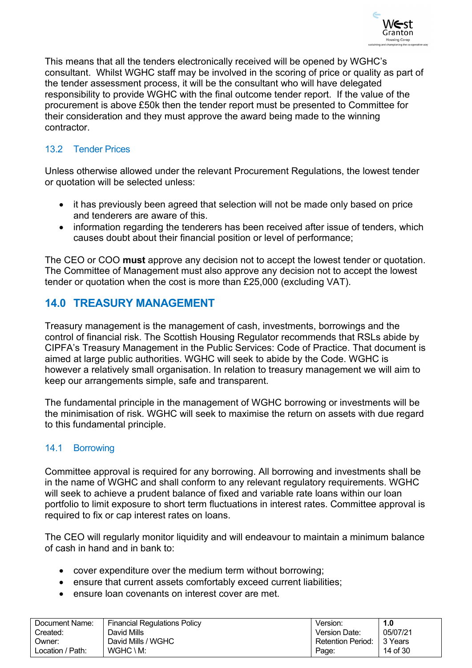

This means that all the tenders electronically received will be opened by WGHC's consultant. Whilst WGHC staff may be involved in the scoring of price or quality as part of the tender assessment process, it will be the consultant who will have delegated responsibility to provide WGHC with the final outcome tender report. If the value of the procurement is above £50k then the tender report must be presented to Committee for their consideration and they must approve the award being made to the winning contractor.

### <span id="page-13-0"></span>13.2 Tender Prices

Unless otherwise allowed under the relevant Procurement Regulations, the lowest tender or quotation will be selected unless:

- it has previously been agreed that selection will not be made only based on price and tenderers are aware of this.
- information regarding the tenderers has been received after issue of tenders, which causes doubt about their financial position or level of performance;

The CEO or COO **must** approve any decision not to accept the lowest tender or quotation. The Committee of Management must also approve any decision not to accept the lowest tender or quotation when the cost is more than £25,000 (excluding VAT).

### <span id="page-13-1"></span>**14.0 TREASURY MANAGEMENT**

Treasury management is the management of cash, investments, borrowings and the control of financial risk. The Scottish Housing Regulator recommends that RSLs abide by CIPFA's Treasury Management in the Public Services: Code of Practice. That document is aimed at large public authorities. WGHC will seek to abide by the Code. WGHC is however a relatively small organisation. In relation to treasury management we will aim to keep our arrangements simple, safe and transparent.

The fundamental principle in the management of WGHC borrowing or investments will be the minimisation of risk. WGHC will seek to maximise the return on assets with due regard to this fundamental principle.

### <span id="page-13-2"></span>14.1 Borrowing

Committee approval is required for any borrowing. All borrowing and investments shall be in the name of WGHC and shall conform to any relevant regulatory requirements. WGHC will seek to achieve a prudent balance of fixed and variable rate loans within our loan portfolio to limit exposure to short term fluctuations in interest rates. Committee approval is required to fix or cap interest rates on loans.

The CEO will regularly monitor liquidity and will endeavour to maintain a minimum balance of cash in hand and in bank to:

- cover expenditure over the medium term without borrowing;
- ensure that current assets comfortably exceed current liabilities:
- ensure loan covenants on interest cover are met.

| Document Name:   | <b>Financial Regulations Policy</b> | Version:          | 1.0       |
|------------------|-------------------------------------|-------------------|-----------|
| Created:         | David Mills                         | Version Date:     | 05/07/21  |
| Owner:           | David Mills / WGHC                  | Retention Period: | l 3 Years |
| Location / Path: | WGHC \ M:                           | Page:             | 14 of 30  |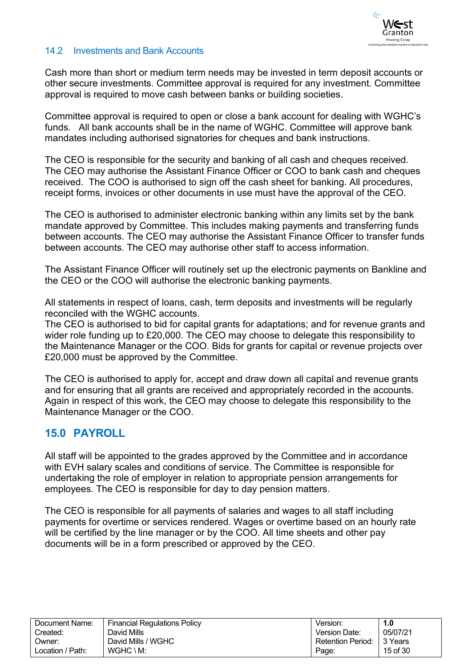

#### <span id="page-14-0"></span>14.2 Investments and Bank Accounts

Cash more than short or medium term needs may be invested in term deposit accounts or other secure investments. Committee approval is required for any investment. Committee approval is required to move cash between banks or building societies.

Committee approval is required to open or close a bank account for dealing with WGHC's funds. All bank accounts shall be in the name of WGHC. Committee will approve bank mandates including authorised signatories for cheques and bank instructions.

The CEO is responsible for the security and banking of all cash and cheques received. The CEO may authorise the Assistant Finance Officer or COO to bank cash and cheques received. The COO is authorised to sign off the cash sheet for banking. All procedures, receipt forms, invoices or other documents in use must have the approval of the CEO.

The CEO is authorised to administer electronic banking within any limits set by the bank mandate approved by Committee. This includes making payments and transferring funds between accounts. The CEO may authorise the Assistant Finance Officer to transfer funds between accounts. The CEO may authorise other staff to access information.

The Assistant Finance Officer will routinely set up the electronic payments on Bankline and the CEO or the COO will authorise the electronic banking payments.

All statements in respect of loans, cash, term deposits and investments will be regularly reconciled with the WGHC accounts.

The CEO is authorised to bid for capital grants for adaptations; and for revenue grants and wider role funding up to £20,000. The CEO may choose to delegate this responsibility to the Maintenance Manager or the COO. Bids for grants for capital or revenue projects over £20,000 must be approved by the Committee.

The CEO is authorised to apply for, accept and draw down all capital and revenue grants and for ensuring that all grants are received and appropriately recorded in the accounts. Again in respect of this work, the CEO may choose to delegate this responsibility to the Maintenance Manager or the COO.

### <span id="page-14-1"></span>**15.0 PAYROLL**

All staff will be appointed to the grades approved by the Committee and in accordance with EVH salary scales and conditions of service. The Committee is responsible for undertaking the role of employer in relation to appropriate pension arrangements for employees. The CEO is responsible for day to day pension matters.

The CEO is responsible for all payments of salaries and wages to all staff including payments for overtime or services rendered. Wages or overtime based on an hourly rate will be certified by the line manager or by the COO. All time sheets and other pay documents will be in a form prescribed or approved by the CEO.

| Document Name:   | Financial Regulations Policy | Version.          | 1.0      |
|------------------|------------------------------|-------------------|----------|
| Created:         | David Mills                  | Version Date:     | 05/07/21 |
| Owner:           | David Mills / WGHC           | Retention Period: | 3 Years  |
| Location / Path: | $WGHC \setminus M$ :         | Page:             | 15 of 30 |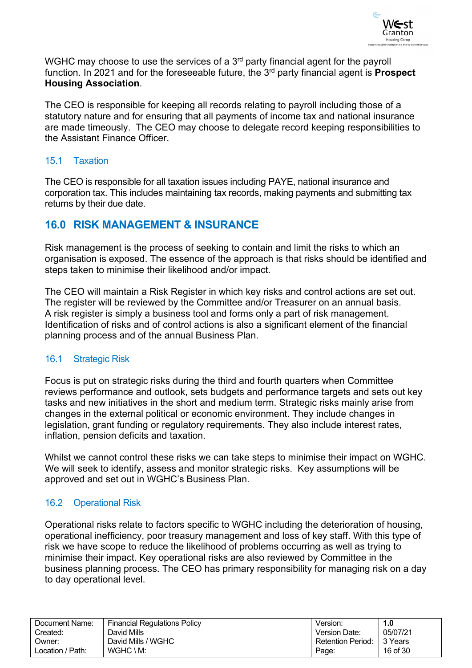

WGHC may choose to use the services of a 3<sup>rd</sup> party financial agent for the payroll function. In 2021 and for the foreseeable future, the 3rd party financial agent is **Prospect Housing Association**.

The CEO is responsible for keeping all records relating to payroll including those of a statutory nature and for ensuring that all payments of income tax and national insurance are made timeously. The CEO may choose to delegate record keeping responsibilities to the Assistant Finance Officer.

### <span id="page-15-0"></span>15.1 Taxation

The CEO is responsible for all taxation issues including PAYE, national insurance and corporation tax. This includes maintaining tax records, making payments and submitting tax returns by their due date.

### <span id="page-15-1"></span>**16.0 RISK MANAGEMENT & INSURANCE**

Risk management is the process of seeking to contain and limit the risks to which an organisation is exposed. The essence of the approach is that risks should be identified and steps taken to minimise their likelihood and/or impact.

The CEO will maintain a Risk Register in which key risks and control actions are set out. The register will be reviewed by the Committee and/or Treasurer on an annual basis. A risk register is simply a business tool and forms only a part of risk management. Identification of risks and of control actions is also a significant element of the financial planning process and of the annual Business Plan.

### <span id="page-15-2"></span>16.1 Strategic Risk

Focus is put on strategic risks during the third and fourth quarters when Committee reviews performance and outlook, sets budgets and performance targets and sets out key tasks and new initiatives in the short and medium term. Strategic risks mainly arise from changes in the external political or economic environment. They include changes in legislation, grant funding or regulatory requirements. They also include interest rates, inflation, pension deficits and taxation.

Whilst we cannot control these risks we can take steps to minimise their impact on WGHC. We will seek to identify, assess and monitor strategic risks. Key assumptions will be approved and set out in WGHC's Business Plan.

### <span id="page-15-3"></span>16.2 Operational Risk

Operational risks relate to factors specific to WGHC including the deterioration of housing, operational inefficiency, poor treasury management and loss of key staff. With this type of risk we have scope to reduce the likelihood of problems occurring as well as trying to minimise their impact. Key operational risks are also reviewed by Committee in the business planning process. The CEO has primary responsibility for managing risk on a day to day operational level.

| Document Name:   | Financial Regulations Policy | Version:                 | 1.0      |
|------------------|------------------------------|--------------------------|----------|
| Created:         | David Mills                  | Version Date:            | 05/07/21 |
| Owner:           | David Mills / WGHC           | <b>Retention Period:</b> | ∣3 Years |
| Location / Path: | $WGHC \setminus M$ :         | Page:                    | 16 of 30 |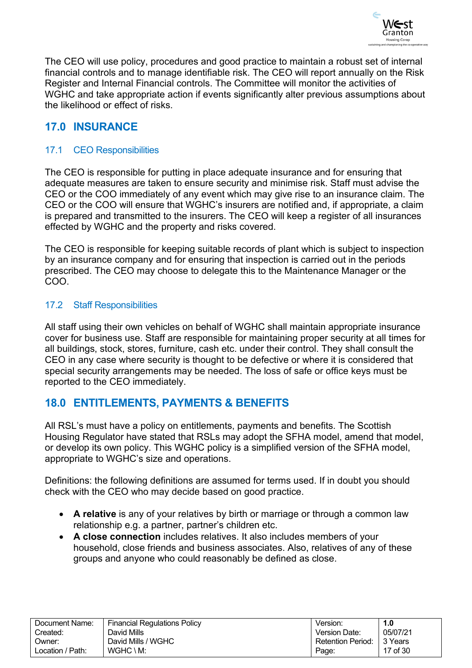

The CEO will use policy, procedures and good practice to maintain a robust set of internal financial controls and to manage identifiable risk. The CEO will report annually on the Risk Register and Internal Financial controls. The Committee will monitor the activities of WGHC and take appropriate action if events significantly alter previous assumptions about the likelihood or effect of risks.

## <span id="page-16-0"></span>**17.0 INSURANCE**

### <span id="page-16-1"></span>17.1 CEO Responsibilities

The CEO is responsible for putting in place adequate insurance and for ensuring that adequate measures are taken to ensure security and minimise risk. Staff must advise the CEO or the COO immediately of any event which may give rise to an insurance claim. The CEO or the COO will ensure that WGHC's insurers are notified and, if appropriate, a claim is prepared and transmitted to the insurers. The CEO will keep a register of all insurances effected by WGHC and the property and risks covered.

The CEO is responsible for keeping suitable records of plant which is subject to inspection by an insurance company and for ensuring that inspection is carried out in the periods prescribed. The CEO may choose to delegate this to the Maintenance Manager or the COO.

#### <span id="page-16-2"></span>17.2 Staff Responsibilities

All staff using their own vehicles on behalf of WGHC shall maintain appropriate insurance cover for business use. Staff are responsible for maintaining proper security at all times for all buildings, stock, stores, furniture, cash etc. under their control. They shall consult the CEO in any case where security is thought to be defective or where it is considered that special security arrangements may be needed. The loss of safe or office keys must be reported to the CEO immediately.

### <span id="page-16-3"></span>**18.0 ENTITLEMENTS, PAYMENTS & BENEFITS**

All RSL's must have a policy on entitlements, payments and benefits. The Scottish Housing Regulator have stated that RSLs may adopt the SFHA model, amend that model, or develop its own policy. This WGHC policy is a simplified version of the SFHA model, appropriate to WGHC's size and operations.

Definitions: the following definitions are assumed for terms used. If in doubt you should check with the CEO who may decide based on good practice.

- **A relative** is any of your relatives by birth or marriage or through a common law relationship e.g. a partner, partner's children etc.
- **A close connection** includes relatives. It also includes members of your household, close friends and business associates. Also, relatives of any of these groups and anyone who could reasonably be defined as close.

| Document Name:   | <b>Financial Regulations Policy</b> | Version.          | I.O       |
|------------------|-------------------------------------|-------------------|-----------|
| Created:         | David Mills                         | Version Date:     | 05/07/21  |
| :Jwner           | David Mills / WGHC                  | Retention Period: | l 3 Years |
| Location / Path: | $WGHC \setminus M$ :                | Page:             | 17 of 30  |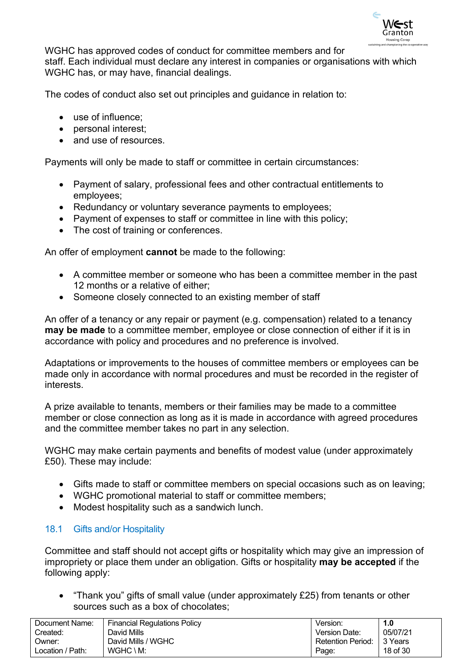

WGHC has approved codes of conduct for committee members and for staff. Each individual must declare any interest in companies or organisations with which WGHC has, or may have, financial dealings.

The codes of conduct also set out principles and guidance in relation to:

- use of influence;
- personal interest;
- and use of resources.

Payments will only be made to staff or committee in certain circumstances:

- Payment of salary, professional fees and other contractual entitlements to employees;
- Redundancy or voluntary severance payments to employees;
- Payment of expenses to staff or committee in line with this policy;
- The cost of training or conferences.

An offer of employment **cannot** be made to the following:

- A committee member or someone who has been a committee member in the past 12 months or a relative of either;
- Someone closely connected to an existing member of staff

An offer of a tenancy or any repair or payment (e.g. compensation) related to a tenancy **may be made** to a committee member, employee or close connection of either if it is in accordance with policy and procedures and no preference is involved.

Adaptations or improvements to the houses of committee members or employees can be made only in accordance with normal procedures and must be recorded in the register of interests.

A prize available to tenants, members or their families may be made to a committee member or close connection as long as it is made in accordance with agreed procedures and the committee member takes no part in any selection.

WGHC may make certain payments and benefits of modest value (under approximately £50). These may include:

- Gifts made to staff or committee members on special occasions such as on leaving;
- WGHC promotional material to staff or committee members;
- Modest hospitality such as a sandwich lunch.

### <span id="page-17-0"></span>18.1 Gifts and/or Hospitality

Committee and staff should not accept gifts or hospitality which may give an impression of impropriety or place them under an obligation. Gifts or hospitality **may be accepted** if the following apply:

• "Thank you" gifts of small value (under approximately £25) from tenants or other sources such as a box of chocolates;

| Document Name:   | <b>Financial Regulations Policy</b> | Version:          | 1.0       |
|------------------|-------------------------------------|-------------------|-----------|
| Created:         | David Mills                         | Version Date:     | 05/07/21  |
| Owner:           | David Mills / WGHC                  | Retention Period: | l 3 Years |
| Location / Path: | $WGHC \setminus M$ :                | Page:             | 18 of 30  |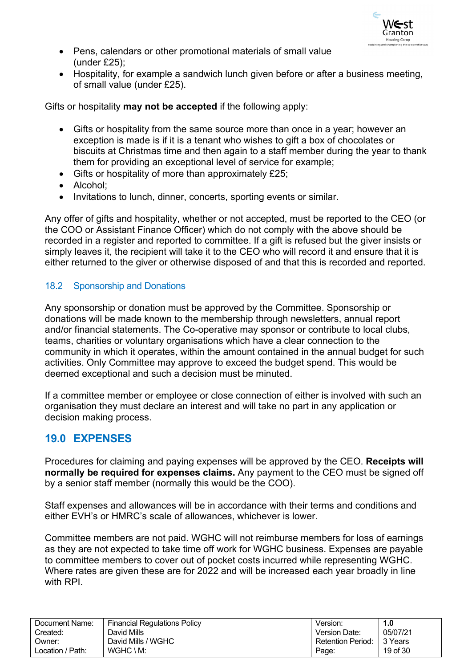

- Pens, calendars or other promotional materials of small value (under £25);
- Hospitality, for example a sandwich lunch given before or after a business meeting, of small value (under £25).

Gifts or hospitality **may not be accepted** if the following apply:

- Gifts or hospitality from the same source more than once in a year; however an exception is made is if it is a tenant who wishes to gift a box of chocolates or biscuits at Christmas time and then again to a staff member during the year to thank them for providing an exceptional level of service for example;
- Gifts or hospitality of more than approximately £25;
- Alcohol:
- Invitations to lunch, dinner, concerts, sporting events or similar.

Any offer of gifts and hospitality, whether or not accepted, must be reported to the CEO (or the COO or Assistant Finance Officer) which do not comply with the above should be recorded in a register and reported to committee. If a gift is refused but the giver insists or simply leaves it, the recipient will take it to the CEO who will record it and ensure that it is either returned to the giver or otherwise disposed of and that this is recorded and reported.

### <span id="page-18-0"></span>18.2 Sponsorship and Donations

Any sponsorship or donation must be approved by the Committee. Sponsorship or donations will be made known to the membership through newsletters, annual report and/or financial statements. The Co-operative may sponsor or contribute to local clubs, teams, charities or voluntary organisations which have a clear connection to the community in which it operates, within the amount contained in the annual budget for such activities. Only Committee may approve to exceed the budget spend. This would be deemed exceptional and such a decision must be minuted.

If a committee member or employee or close connection of either is involved with such an organisation they must declare an interest and will take no part in any application or decision making process.

### <span id="page-18-1"></span>**19.0 EXPENSES**

Procedures for claiming and paying expenses will be approved by the CEO. **Receipts will normally be required for expenses claims.** Any payment to the CEO must be signed off by a senior staff member (normally this would be the COO).

Staff expenses and allowances will be in accordance with their terms and conditions and either EVH's or HMRC's scale of allowances, whichever is lower.

Committee members are not paid. WGHC will not reimburse members for loss of earnings as they are not expected to take time off work for WGHC business. Expenses are payable to committee members to cover out of pocket costs incurred while representing WGHC. Where rates are given these are for 2022 and will be increased each year broadly in line with RPI

| Document Name:   | <b>Financial Regulations Policy</b> | Version.                 | 1.0      |
|------------------|-------------------------------------|--------------------------|----------|
| Created:         | David Mills                         | Version Date:            | 05/07/21 |
| Owner:           | David Mills / WGHC                  | <b>Retention Period:</b> | 3 Years  |
| Location / Path: | $WGHC \setminus M$ :                | Page:                    | 19 of 30 |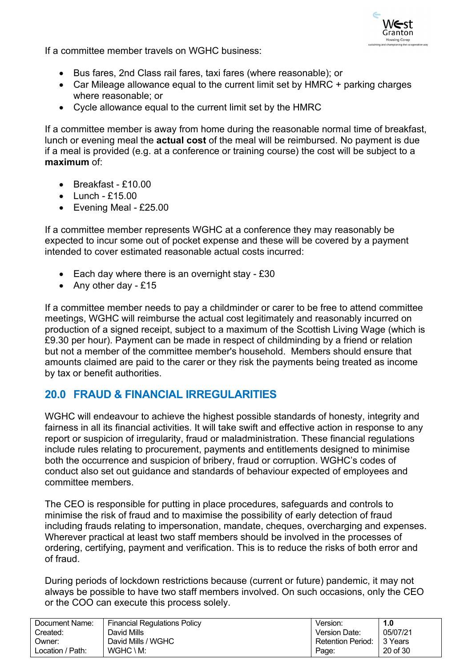

If a committee member travels on WGHC business:

- Bus fares, 2nd Class rail fares, taxi fares (where reasonable); or
- Car Mileage allowance equal to the current limit set by HMRC + parking charges where reasonable; or
- Cycle allowance equal to the current limit set by the HMRC

If a committee member is away from home during the reasonable normal time of breakfast, lunch or evening meal the **actual cost** of the meal will be reimbursed. No payment is due if a meal is provided (e.g. at a conference or training course) the cost will be subject to a **maximum** of:

- Breakfast £10.00
- $\bullet$  Lunch £15.00
- Evening Meal £25.00

If a committee member represents WGHC at a conference they may reasonably be expected to incur some out of pocket expense and these will be covered by a payment intended to cover estimated reasonable actual costs incurred:

- Each day where there is an overnight stay £30
- Any other day £15

If a committee member needs to pay a childminder or carer to be free to attend committee meetings, WGHC will reimburse the actual cost legitimately and reasonably incurred on production of a signed receipt, subject to a maximum of the Scottish Living Wage (which is £9.30 per hour). Payment can be made in respect of childminding by a friend or relation but not a member of the committee member's household. Members should ensure that amounts claimed are paid to the carer or they risk the payments being treated as income by tax or benefit authorities.

### <span id="page-19-0"></span>**20.0 FRAUD & FINANCIAL IRREGULARITIES**

WGHC will endeavour to achieve the highest possible standards of honesty, integrity and fairness in all its financial activities. It will take swift and effective action in response to any report or suspicion of irregularity, fraud or maladministration. These financial regulations include rules relating to procurement, payments and entitlements designed to minimise both the occurrence and suspicion of bribery, fraud or corruption. WGHC's codes of conduct also set out guidance and standards of behaviour expected of employees and committee members.

The CEO is responsible for putting in place procedures, safeguards and controls to minimise the risk of fraud and to maximise the possibility of early detection of fraud including frauds relating to impersonation, mandate, cheques, overcharging and expenses. Wherever practical at least two staff members should be involved in the processes of ordering, certifying, payment and verification. This is to reduce the risks of both error and of fraud.

During periods of lockdown restrictions because (current or future) pandemic, it may not always be possible to have two staff members involved. On such occasions, only the CEO or the COO can execute this process solely.

| Document Name:   | <b>Financial Regulations Policy</b> | Version:                 | 1.0      |
|------------------|-------------------------------------|--------------------------|----------|
| Created:         | David Mills                         | Version Date:            | 05/07/21 |
| ::Owner          | David Mills / WGHC                  | <b>Retention Period:</b> | 3 Years  |
| Location / Path: | $WGHC \setminus M$ :                | Page:                    | 20 of 30 |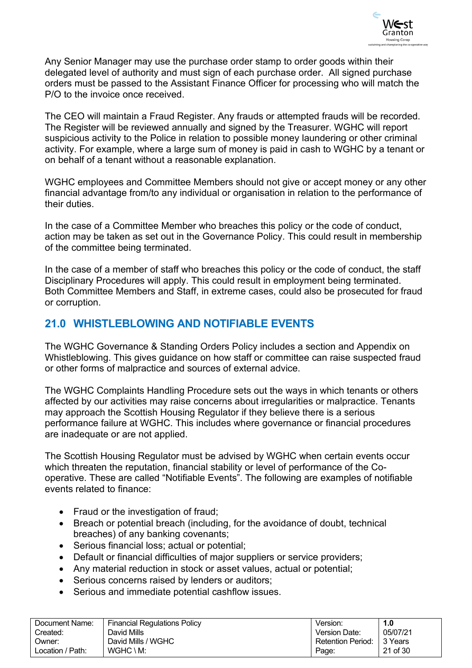

Any Senior Manager may use the purchase order stamp to order goods within their delegated level of authority and must sign of each purchase order. All signed purchase orders must be passed to the Assistant Finance Officer for processing who will match the P/O to the invoice once received.

The CEO will maintain a Fraud Register. Any frauds or attempted frauds will be recorded. The Register will be reviewed annually and signed by the Treasurer. WGHC will report suspicious activity to the Police in relation to possible money laundering or other criminal activity. For example, where a large sum of money is paid in cash to WGHC by a tenant or on behalf of a tenant without a reasonable explanation.

WGHC employees and Committee Members should not give or accept money or any other financial advantage from/to any individual or organisation in relation to the performance of their duties.

In the case of a Committee Member who breaches this policy or the code of conduct, action may be taken as set out in the Governance Policy. This could result in membership of the committee being terminated.

In the case of a member of staff who breaches this policy or the code of conduct, the staff Disciplinary Procedures will apply. This could result in employment being terminated. Both Committee Members and Staff, in extreme cases, could also be prosecuted for fraud or corruption.

# <span id="page-20-0"></span>**21.0 WHISTLEBLOWING AND NOTIFIABLE EVENTS**

The WGHC Governance & Standing Orders Policy includes a section and Appendix on Whistleblowing. This gives guidance on how staff or committee can raise suspected fraud or other forms of malpractice and sources of external advice.

The WGHC Complaints Handling Procedure sets out the ways in which tenants or others affected by our activities may raise concerns about irregularities or malpractice. Tenants may approach the Scottish Housing Regulator if they believe there is a serious performance failure at WGHC. This includes where governance or financial procedures are inadequate or are not applied.

The Scottish Housing Regulator must be advised by WGHC when certain events occur which threaten the reputation, financial stability or level of performance of the Cooperative. These are called "Notifiable Events". The following are examples of notifiable events related to finance:

- Fraud or the investigation of fraud:
- Breach or potential breach (including, for the avoidance of doubt, technical breaches) of any banking covenants;
- Serious financial loss; actual or potential;
- Default or financial difficulties of major suppliers or service providers;
- Any material reduction in stock or asset values, actual or potential;
- Serious concerns raised by lenders or auditors:
- Serious and immediate potential cashflow issues.

| Document Name:   | <b>Financial Regulations Policy</b> | Version.                 | 1.0      |
|------------------|-------------------------------------|--------------------------|----------|
| Created:         | David Mills                         | Version Date:            | 05/07/21 |
| Owner:           | David Mills / WGHC                  | <b>Retention Period:</b> | 3 Years  |
| Location / Path: | $WGHC \setminus M$ :                | Page:                    | 21 of 30 |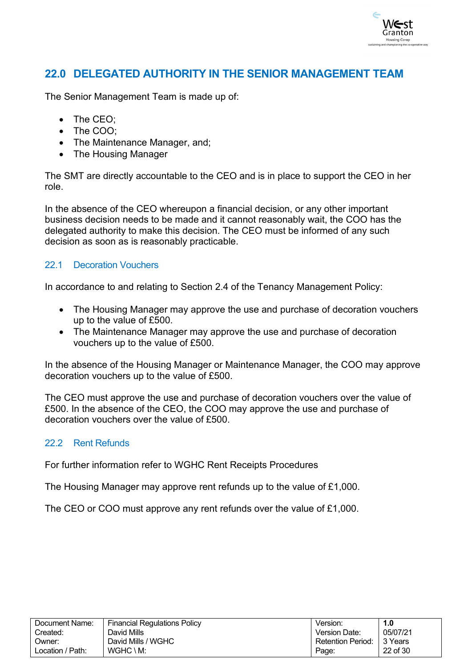

### <span id="page-21-0"></span>**22.0 DELEGATED AUTHORITY IN THE SENIOR MANAGEMENT TEAM**

The Senior Management Team is made up of:

- The CEO;
- The COO;
- The Maintenance Manager, and;
- The Housing Manager

The SMT are directly accountable to the CEO and is in place to support the CEO in her role.

In the absence of the CEO whereupon a financial decision, or any other important business decision needs to be made and it cannot reasonably wait, the COO has the delegated authority to make this decision. The CEO must be informed of any such decision as soon as is reasonably practicable.

### <span id="page-21-1"></span>22.1 Decoration Vouchers

In accordance to and relating to Section 2.4 of the Tenancy Management Policy:

- The Housing Manager may approve the use and purchase of decoration vouchers up to the value of £500.
- The Maintenance Manager may approve the use and purchase of decoration vouchers up to the value of £500.

In the absence of the Housing Manager or Maintenance Manager, the COO may approve decoration vouchers up to the value of £500.

The CEO must approve the use and purchase of decoration vouchers over the value of £500. In the absence of the CEO, the COO may approve the use and purchase of decoration vouchers over the value of £500.

### <span id="page-21-2"></span>22.2 Rent Refunds

For further information refer to WGHC Rent Receipts Procedures

The Housing Manager may approve rent refunds up to the value of £1,000.

The CEO or COO must approve any rent refunds over the value of £1,000.

| Document Name:   | <b>Financial Regulations Policy</b> | Version.                 | 1.0       |
|------------------|-------------------------------------|--------------------------|-----------|
| Created:         | David Mills                         | Version Date:            | 05/07/21  |
| Owner:           | David Mills / WGHC                  | <b>Retention Period:</b> | l 3 Years |
| Location / Path: | $WGHC \setminus M$ :                | Page:                    | 22 of 30  |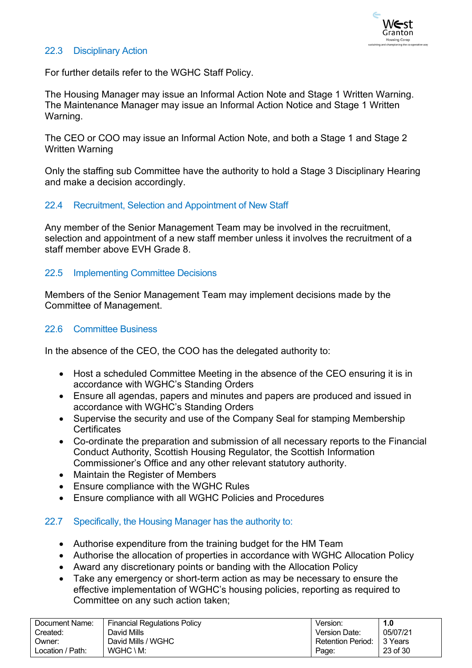

### <span id="page-22-0"></span>22.3 Disciplinary Action

For further details refer to the WGHC Staff Policy.

The Housing Manager may issue an Informal Action Note and Stage 1 Written Warning. The Maintenance Manager may issue an Informal Action Notice and Stage 1 Written Warning.

The CEO or COO may issue an Informal Action Note, and both a Stage 1 and Stage 2 Written Warning

Only the staffing sub Committee have the authority to hold a Stage 3 Disciplinary Hearing and make a decision accordingly.

### <span id="page-22-1"></span>22.4 Recruitment, Selection and Appointment of New Staff

Any member of the Senior Management Team may be involved in the recruitment, selection and appointment of a new staff member unless it involves the recruitment of a staff member above EVH Grade 8.

### <span id="page-22-2"></span>22.5 Implementing Committee Decisions

Members of the Senior Management Team may implement decisions made by the Committee of Management.

### <span id="page-22-3"></span>22.6 Committee Business

In the absence of the CEO, the COO has the delegated authority to:

- Host a scheduled Committee Meeting in the absence of the CEO ensuring it is in accordance with WGHC's Standing Orders
- Ensure all agendas, papers and minutes and papers are produced and issued in accordance with WGHC's Standing Orders
- Supervise the security and use of the Company Seal for stamping Membership **Certificates**
- Co-ordinate the preparation and submission of all necessary reports to the Financial Conduct Authority, Scottish Housing Regulator, the Scottish Information Commissioner's Office and any other relevant statutory authority.
- Maintain the Register of Members
- Ensure compliance with the WGHC Rules
- Ensure compliance with all WGHC Policies and Procedures

#### <span id="page-22-4"></span>22.7 Specifically, the Housing Manager has the authority to:

- Authorise expenditure from the training budget for the HM Team
- Authorise the allocation of properties in accordance with WGHC Allocation Policy
- Award any discretionary points or banding with the Allocation Policy
- Take any emergency or short-term action as may be necessary to ensure the effective implementation of WGHC's housing policies, reporting as required to Committee on any such action taken;

| Document Name:   | <b>Financial Regulations Policy</b> | Version:          | 1.0      |
|------------------|-------------------------------------|-------------------|----------|
| Created:         | David Mills                         | Version Date:     | 05/07/21 |
| Owner:           | David Mills / WGHC                  | Retention Period: | 3 Years  |
| ∟ocation / Path: | $WGHC \setminus M$ :                | Page:             | 23 of 30 |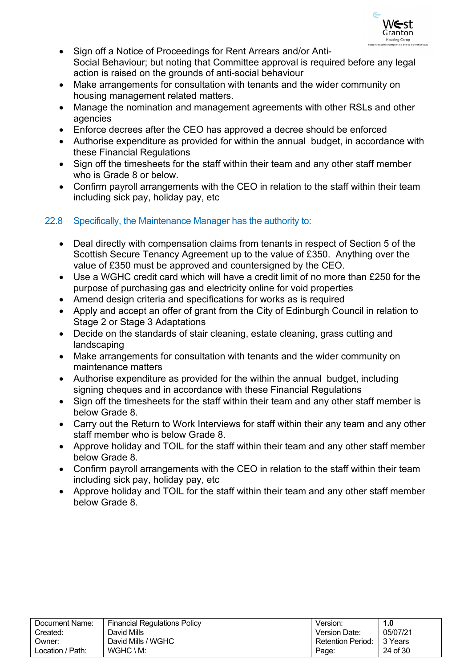

- Sign off a Notice of Proceedings for Rent Arrears and/or Anti-Social Behaviour; but noting that Committee approval is required before any legal action is raised on the grounds of anti-social behaviour
- Make arrangements for consultation with tenants and the wider community on housing management related matters.
- Manage the nomination and management agreements with other RSLs and other agencies
- Enforce decrees after the CEO has approved a decree should be enforced
- Authorise expenditure as provided for within the annual budget, in accordance with these Financial Regulations
- Sign off the timesheets for the staff within their team and any other staff member who is Grade 8 or below.
- Confirm payroll arrangements with the CEO in relation to the staff within their team including sick pay, holiday pay, etc

### <span id="page-23-0"></span>22.8 Specifically, the Maintenance Manager has the authority to:

- Deal directly with compensation claims from tenants in respect of Section 5 of the Scottish Secure Tenancy Agreement up to the value of £350. Anything over the value of £350 must be approved and countersigned by the CEO.
- Use a WGHC credit card which will have a credit limit of no more than £250 for the purpose of purchasing gas and electricity online for void properties
- Amend design criteria and specifications for works as is required
- Apply and accept an offer of grant from the City of Edinburgh Council in relation to Stage 2 or Stage 3 Adaptations
- Decide on the standards of stair cleaning, estate cleaning, grass cutting and landscaping
- Make arrangements for consultation with tenants and the wider community on maintenance matters
- Authorise expenditure as provided for the within the annual budget, including signing cheques and in accordance with these Financial Regulations
- Sign off the timesheets for the staff within their team and any other staff member is below Grade 8.
- Carry out the Return to Work Interviews for staff within their any team and any other staff member who is below Grade 8.
- Approve holiday and TOIL for the staff within their team and any other staff member below Grade 8.
- Confirm payroll arrangements with the CEO in relation to the staff within their team including sick pay, holiday pay, etc
- Approve holiday and TOIL for the staff within their team and any other staff member below Grade 8.

| Document Name:   | <b>Financial Regulations Policy</b> | Version:          | 1.0       |
|------------------|-------------------------------------|-------------------|-----------|
| Created:         | David Mills                         | Version Date:     | 05/07/21  |
| Owner:           | David Mills / WGHC                  | Retention Period: | ∣ 3 Years |
| Location / Path: | $WGHC \setminus M$ :                | Page:             | 24 of 30  |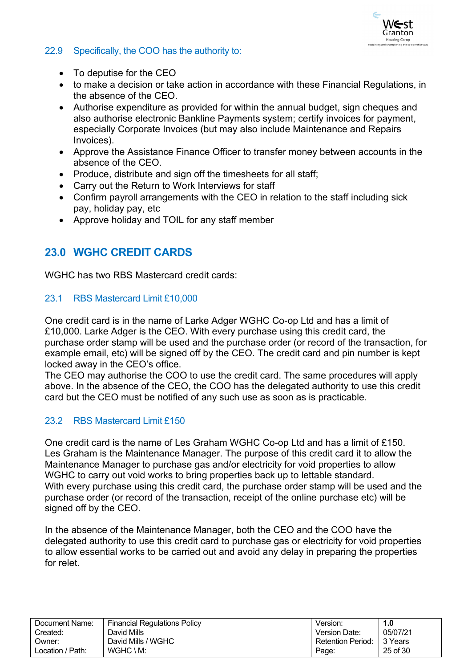

### <span id="page-24-0"></span>22.9 Specifically, the COO has the authority to:

- To deputise for the CEO
- to make a decision or take action in accordance with these Financial Regulations, in the absence of the CEO.
- Authorise expenditure as provided for within the annual budget, sign cheques and also authorise electronic Bankline Payments system; certify invoices for payment, especially Corporate Invoices (but may also include Maintenance and Repairs Invoices).
- Approve the Assistance Finance Officer to transfer money between accounts in the absence of the CEO.
- Produce, distribute and sign off the timesheets for all staff;
- Carry out the Return to Work Interviews for staff
- Confirm payroll arrangements with the CEO in relation to the staff including sick pay, holiday pay, etc
- Approve holiday and TOIL for any staff member

# <span id="page-24-1"></span>**23.0 WGHC CREDIT CARDS**

WGHC has two RBS Mastercard credit cards:

#### <span id="page-24-2"></span>23.1 RBS Mastercard Limit £10,000

One credit card is in the name of Larke Adger WGHC Co-op Ltd and has a limit of £10,000. Larke Adger is the CEO. With every purchase using this credit card, the purchase order stamp will be used and the purchase order (or record of the transaction, for example email, etc) will be signed off by the CEO. The credit card and pin number is kept locked away in the CEO's office.

The CEO may authorise the COO to use the credit card. The same procedures will apply above. In the absence of the CEO, the COO has the delegated authority to use this credit card but the CEO must be notified of any such use as soon as is practicable.

### <span id="page-24-3"></span>23.2 RBS Mastercard Limit £150

One credit card is the name of Les Graham WGHC Co-op Ltd and has a limit of £150. Les Graham is the Maintenance Manager. The purpose of this credit card it to allow the Maintenance Manager to purchase gas and/or electricity for void properties to allow WGHC to carry out void works to bring properties back up to lettable standard. With every purchase using this credit card, the purchase order stamp will be used and the purchase order (or record of the transaction, receipt of the online purchase etc) will be signed off by the CEO.

In the absence of the Maintenance Manager, both the CEO and the COO have the delegated authority to use this credit card to purchase gas or electricity for void properties to allow essential works to be carried out and avoid any delay in preparing the properties for relet.

| Document Name:   | <b>Financial Regulations Policy</b> | Version.                 | 1.0      |
|------------------|-------------------------------------|--------------------------|----------|
| Created:         | David Mills                         | <b>Version Date:</b>     | 05/07/21 |
| Owner:           | David Mills / WGHC                  | <b>Retention Period:</b> | 3 Years  |
| Location / Path: | $WGHC \setminus M$ :                | Page:                    | 25 of 30 |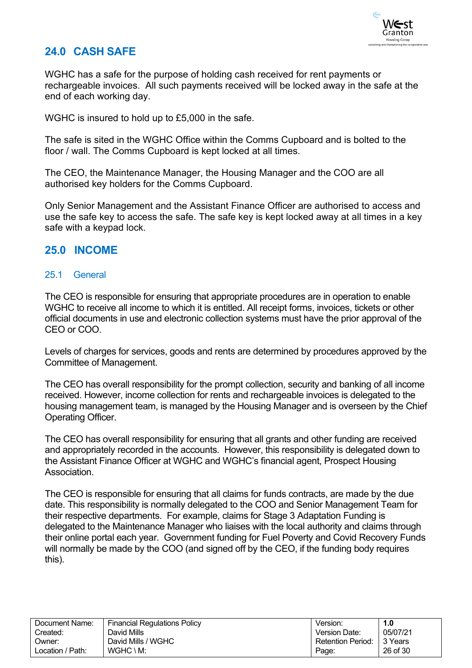

# <span id="page-25-0"></span>**24.0 CASH SAFE**

WGHC has a safe for the purpose of holding cash received for rent payments or rechargeable invoices. All such payments received will be locked away in the safe at the end of each working day.

WGHC is insured to hold up to £5,000 in the safe.

The safe is sited in the WGHC Office within the Comms Cupboard and is bolted to the floor / wall. The Comms Cupboard is kept locked at all times.

The CEO, the Maintenance Manager, the Housing Manager and the COO are all authorised key holders for the Comms Cupboard.

Only Senior Management and the Assistant Finance Officer are authorised to access and use the safe key to access the safe. The safe key is kept locked away at all times in a key safe with a keypad lock.

### **25.0 INCOME**

### <span id="page-25-1"></span>25.1 General

The CEO is responsible for ensuring that appropriate procedures are in operation to enable WGHC to receive all income to which it is entitled. All receipt forms, invoices, tickets or other official documents in use and electronic collection systems must have the prior approval of the CEO or COO.

Levels of charges for services, goods and rents are determined by procedures approved by the Committee of Management.

The CEO has overall responsibility for the prompt collection, security and banking of all income received. However, income collection for rents and rechargeable invoices is delegated to the housing management team, is managed by the Housing Manager and is overseen by the Chief Operating Officer.

The CEO has overall responsibility for ensuring that all grants and other funding are received and appropriately recorded in the accounts. However, this responsibility is delegated down to the Assistant Finance Officer at WGHC and WGHC's financial agent, Prospect Housing Association.

The CEO is responsible for ensuring that all claims for funds contracts, are made by the due date. This responsibility is normally delegated to the COO and Senior Management Team for their respective departments. For example, claims for Stage 3 Adaptation Funding is delegated to the Maintenance Manager who liaises with the local authority and claims through their online portal each year. Government funding for Fuel Poverty and Covid Recovery Funds will normally be made by the COO (and signed off by the CEO, if the funding body requires this).

| Document Name:   | Financial Regulations Policy | Version:                 | 1.0      |
|------------------|------------------------------|--------------------------|----------|
| Created:         | David Mills                  | Version Date:            | 05/07/21 |
| Owner:           | David Mills / WGHC           | <b>Retention Period:</b> | 3 Years  |
| Location / Path: | $WGHC \setminus M$ :         | Page:                    | 26 of 30 |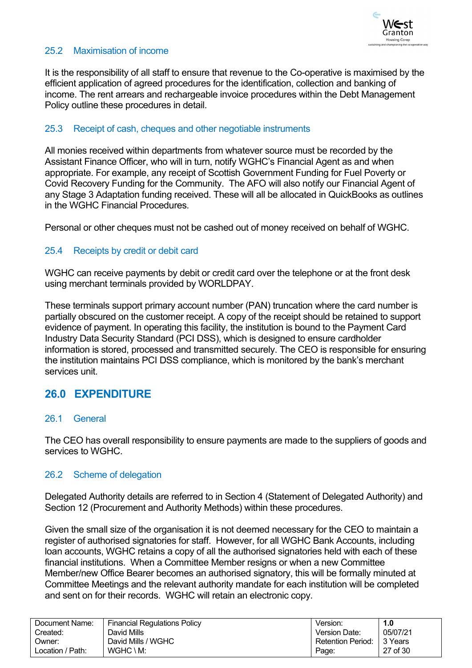

### <span id="page-26-0"></span>25.2 Maximisation of income

It is the responsibility of all staff to ensure that revenue to the Co-operative is maximised by the efficient application of agreed procedures for the identification, collection and banking of income. The rent arrears and rechargeable invoice procedures within the Debt Management Policy outline these procedures in detail.

### <span id="page-26-1"></span>25.3 Receipt of cash, cheques and other negotiable instruments

All monies received within departments from whatever source must be recorded by the Assistant Finance Officer, who will in turn, notify WGHC's Financial Agent as and when appropriate. For example, any receipt of Scottish Government Funding for Fuel Poverty or Covid Recovery Funding for the Community. The AFO will also notify our Financial Agent of any Stage 3 Adaptation funding received. These will all be allocated in QuickBooks as outlines in the WGHC Financial Procedures.

Personal or other cheques must not be cashed out of money received on behalf of WGHC.

#### <span id="page-26-2"></span>25.4 Receipts by credit or debit card

WGHC can receive payments by debit or credit card over the telephone or at the front desk using merchant terminals provided by WORLDPAY.

These terminals support primary account number (PAN) truncation where the card number is partially obscured on the customer receipt. A copy of the receipt should be retained to support evidence of payment. In operating this facility, the institution is bound to the Payment Card Industry Data Security Standard (PCI DSS), which is designed to ensure cardholder information is stored, processed and transmitted securely. The CEO is responsible for ensuring the institution maintains PCI DSS compliance, which is monitored by the bank's merchant services unit.

### **26.0 EXPENDITURE**

#### <span id="page-26-3"></span>26.1 General

The CEO has overall responsibility to ensure payments are made to the suppliers of goods and services to WGHC.

#### <span id="page-26-4"></span>26.2 Scheme of delegation

Delegated Authority details are referred to in Section 4 (Statement of Delegated Authority) and Section 12 (Procurement and Authority Methods) within these procedures.

Given the small size of the organisation it is not deemed necessary for the CEO to maintain a register of authorised signatories for staff. However, for all WGHC Bank Accounts, including loan accounts, WGHC retains a copy of all the authorised signatories held with each of these financial institutions. When a Committee Member resigns or when a new Committee Member/new Office Bearer becomes an authorised signatory, this will be formally minuted at Committee Meetings and the relevant authority mandate for each institution will be completed and sent on for their records. WGHC will retain an electronic copy.

| Document Name:   | <b>Financial Regulations Policy</b> | Version:          | 1.0      |
|------------------|-------------------------------------|-------------------|----------|
| Created:         | David Mills                         | Version Date:     | 05/07/21 |
| Owner:           | David Mills / WGHC                  | Retention Period: | 13 Years |
| Location / Path: | $WGHC \setminus M$ :                | Page:             | 27 of 30 |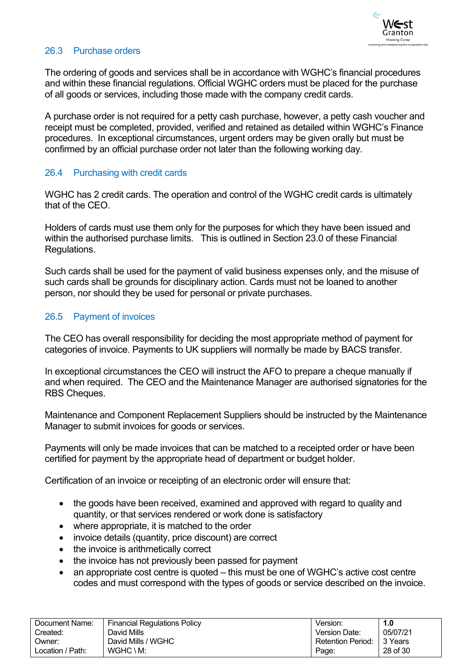

#### <span id="page-27-0"></span>26.3 Purchase orders

The ordering of goods and services shall be in accordance with WGHC's financial procedures and within these financial regulations. Official WGHC orders must be placed for the purchase of all goods or services, including those made with the company credit cards.

A purchase order is not required for a petty cash purchase, however, a petty cash voucher and receipt must be completed, provided, verified and retained as detailed within WGHC's Finance procedures. In exceptional circumstances, urgent orders may be given orally but must be confirmed by an official purchase order not later than the following working day.

### <span id="page-27-1"></span>26.4 Purchasing with credit cards

WGHC has 2 credit cards. The operation and control of the WGHC credit cards is ultimately that of the CEO.

Holders of cards must use them only for the purposes for which they have been issued and within the authorised purchase limits. This is outlined in Section 23.0 of these Financial Regulations.

Such cards shall be used for the payment of valid business expenses only, and the misuse of such cards shall be grounds for disciplinary action. Cards must not be loaned to another person, nor should they be used for personal or private purchases.

### <span id="page-27-2"></span>26.5 Payment of invoices

The CEO has overall responsibility for deciding the most appropriate method of payment for categories of invoice. Payments to UK suppliers will normally be made by BACS transfer.

In exceptional circumstances the CEO will instruct the AFO to prepare a cheque manually if and when required. The CEO and the Maintenance Manager are authorised signatories for the RBS Cheques.

Maintenance and Component Replacement Suppliers should be instructed by the Maintenance Manager to submit invoices for goods or services.

Payments will only be made invoices that can be matched to a receipted order or have been certified for payment by the appropriate head of department or budget holder.

Certification of an invoice or receipting of an electronic order will ensure that:

- the goods have been received, examined and approved with regard to quality and quantity, or that services rendered or work done is satisfactory
- where appropriate, it is matched to the order
- invoice details (quantity, price discount) are correct
- the invoice is arithmetically correct
- the invoice has not previously been passed for payment
- an appropriate cost centre is quoted this must be one of WGHC's active cost centre codes and must correspond with the types of goods or service described on the invoice.

| Document Name:   | <b>Financial Regulations Policy</b> | Version:          | I.O      |
|------------------|-------------------------------------|-------------------|----------|
| Created:         | David Mills                         | Version Date:     | 05/07/21 |
| :Jwner           | David Mills / WGHC                  | Retention Period: | 3 Years  |
| Location / Path: | $WGHC \setminus M$ :                | Page:             | 28 of 30 |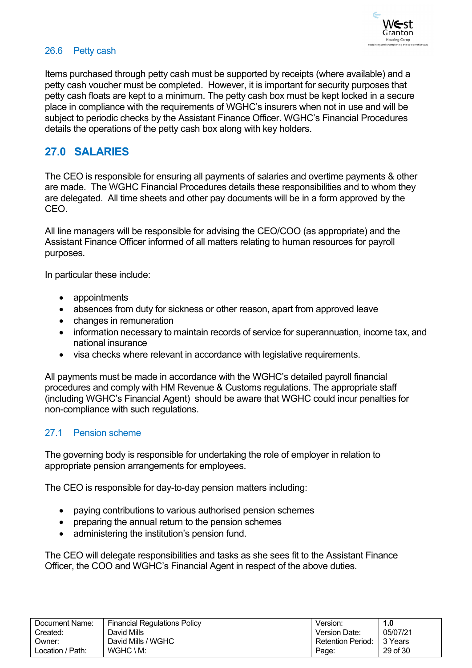

### <span id="page-28-0"></span>26.6 Petty cash

Items purchased through petty cash must be supported by receipts (where available) and a petty cash voucher must be completed. However, it is important for security purposes that petty cash floats are kept to a minimum. The petty cash box must be kept locked in a secure place in compliance with the requirements of WGHC's insurers when not in use and will be subject to periodic checks by the Assistant Finance Officer. WGHC's Financial Procedures details the operations of the petty cash box along with key holders.

### **27.0 SALARIES**

The CEO is responsible for ensuring all payments of salaries and overtime payments & other are made. The WGHC Financial Procedures details these responsibilities and to whom they are delegated. All time sheets and other pay documents will be in a form approved by the CEO.

All line managers will be responsible for advising the CEO/COO (as appropriate) and the Assistant Finance Officer informed of all matters relating to human resources for payroll purposes.

In particular these include:

- appointments
- absences from duty for sickness or other reason, apart from approved leave
- changes in remuneration
- information necessary to maintain records of service for superannuation, income tax, and national insurance
- visa checks where relevant in accordance with legislative requirements.

All payments must be made in accordance with the WGHC's detailed payroll financial procedures and comply with HM Revenue & Customs regulations. The appropriate staff (including WGHC's Financial Agent) should be aware that WGHC could incur penalties for non-compliance with such regulations.

#### <span id="page-28-1"></span>27.1 Pension scheme

The governing body is responsible for undertaking the role of employer in relation to appropriate pension arrangements for employees.

The CEO is responsible for day-to-day pension matters including:

- paying contributions to various authorised pension schemes
- preparing the annual return to the pension schemes
- administering the institution's pension fund.

The CEO will delegate responsibilities and tasks as she sees fit to the Assistant Finance Officer, the COO and WGHC's Financial Agent in respect of the above duties.

| Document Name:   | <b>Financial Regulations Policy</b> | Version:                 | 1.0      |
|------------------|-------------------------------------|--------------------------|----------|
| Created:         | David Mills                         | Version Date:            | 05/07/21 |
| Owner:           | David Mills / WGHC                  | <b>Retention Period:</b> | 3 Years  |
| Location / Path: | $WGHC \setminus M$ :                | Page:                    | 29 of 30 |